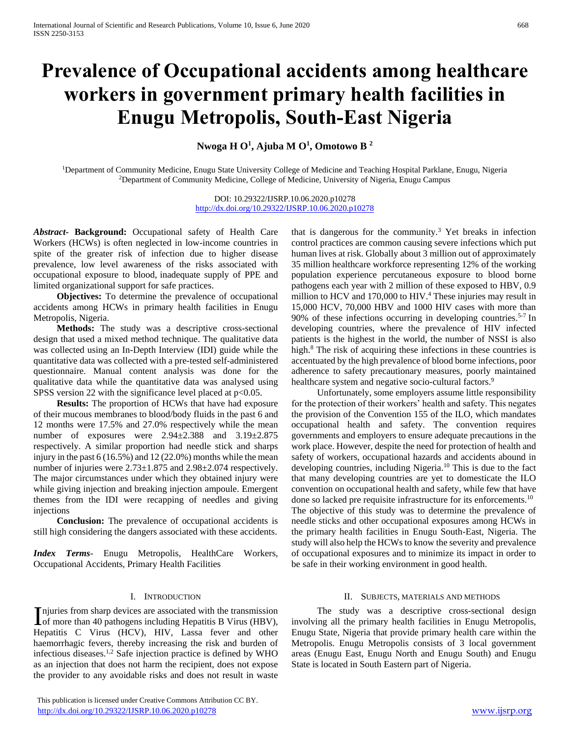# **Prevalence of Occupational accidents among healthcare workers in government primary health facilities in Enugu Metropolis, South-East Nigeria**

**Nwoga H O<sup>1</sup> , Ajuba M O<sup>1</sup> , Omotowo B <sup>2</sup>**

<sup>1</sup>Department of Community Medicine, Enugu State University College of Medicine and Teaching Hospital Parklane, Enugu, Nigeria <sup>2</sup>Department of Community Medicine, College of Medicine, University of Nigeria, Enugu Campus

> DOI: 10.29322/IJSRP.10.06.2020.p10278 <http://dx.doi.org/10.29322/IJSRP.10.06.2020.p10278>

*Abstract***- Background:** Occupational safety of Health Care Workers (HCWs) is often neglected in low-income countries in spite of the greater risk of infection due to higher disease prevalence, low level awareness of the risks associated with occupational exposure to blood, inadequate supply of PPE and limited organizational support for safe practices.

 **Objectives:** To determine the prevalence of occupational accidents among HCWs in primary health facilities in Enugu Metropolis, Nigeria.

 **Methods:** The study was a descriptive cross-sectional design that used a mixed method technique. The qualitative data was collected using an In-Depth Interview (IDI) guide while the quantitative data was collected with a pre-tested self-administered questionnaire. Manual content analysis was done for the qualitative data while the quantitative data was analysed using SPSS version 22 with the significance level placed at  $p<0.05$ .

 **Results:** The proportion of HCWs that have had exposure of their mucous membranes to blood/body fluids in the past 6 and 12 months were 17.5% and 27.0% respectively while the mean number of exposures were 2.94±2.388 and 3.19±2.875 respectively. A similar proportion had needle stick and sharps injury in the past 6 (16.5%) and 12 (22.0%) months while the mean number of injuries were 2.73±1.875 and 2.98±2.074 respectively. The major circumstances under which they obtained injury were while giving injection and breaking injection ampoule. Emergent themes from the IDI were recapping of needles and giving injections

 **Conclusion:** The prevalence of occupational accidents is still high considering the dangers associated with these accidents.

*Index Terms*- Enugu Metropolis, HealthCare Workers, Occupational Accidents, Primary Health Facilities

## I. INTRODUCTION

njuries from sharp devices are associated with the transmission Injuries from sharp devices are associated with the transmission<br>of more than 40 pathogens including Hepatitis B Virus (HBV), Hepatitis C Virus (HCV), HIV, Lassa fever and other haemorrhagic fevers, thereby increasing the risk and burden of infectious diseases.1,2 Safe injection practice is defined by WHO as an injection that does not harm the recipient, does not expose the provider to any avoidable risks and does not result in waste

that is dangerous for the community.<sup>3</sup> Yet breaks in infection control practices are common causing severe infections which put human lives at risk. Globally about 3 million out of approximately 35 million healthcare workforce representing 12% of the working population experience percutaneous exposure to blood borne pathogens each year with 2 million of these exposed to HBV, 0.9 million to HCV and 170,000 to HIV.<sup>4</sup> These injuries may result in 15,000 HCV, 70,000 HBV and 1000 HIV cases with more than 90% of these infections occurring in developing countries.<sup>5-7</sup> In developing countries, where the prevalence of HIV infected patients is the highest in the world, the number of NSSI is also high.<sup>8</sup> The risk of acquiring these infections in these countries is accentuated by the high prevalence of blood borne infections, poor adherence to safety precautionary measures, poorly maintained healthcare system and negative socio-cultural factors.<sup>9</sup>

 Unfortunately, some employers assume little responsibility for the protection of their workers' health and safety. This negates the provision of the Convention 155 of the ILO, which mandates occupational health and safety. The convention requires governments and employers to ensure adequate precautions in the work place. However, despite the need for protection of health and safety of workers, occupational hazards and accidents abound in developing countries, including Nigeria.<sup>10</sup> This is due to the fact that many developing countries are yet to domesticate the ILO convention on occupational health and safety, while few that have done so lacked pre requisite infrastructure for its enforcements.<sup>10</sup> The objective of this study was to determine the prevalence of needle sticks and other occupational exposures among HCWs in the primary health facilities in Enugu South-East, Nigeria. The study will also help the HCWs to know the severity and prevalence of occupational exposures and to minimize its impact in order to be safe in their working environment in good health.

#### II. SUBJECTS, MATERIALS AND METHODS

 The study was a descriptive cross-sectional design involving all the primary health facilities in Enugu Metropolis, Enugu State, Nigeria that provide primary health care within the Metropolis. Enugu Metropolis consists of 3 local government areas (Enugu East, Enugu North and Enugu South) and Enugu State is located in South Eastern part of Nigeria.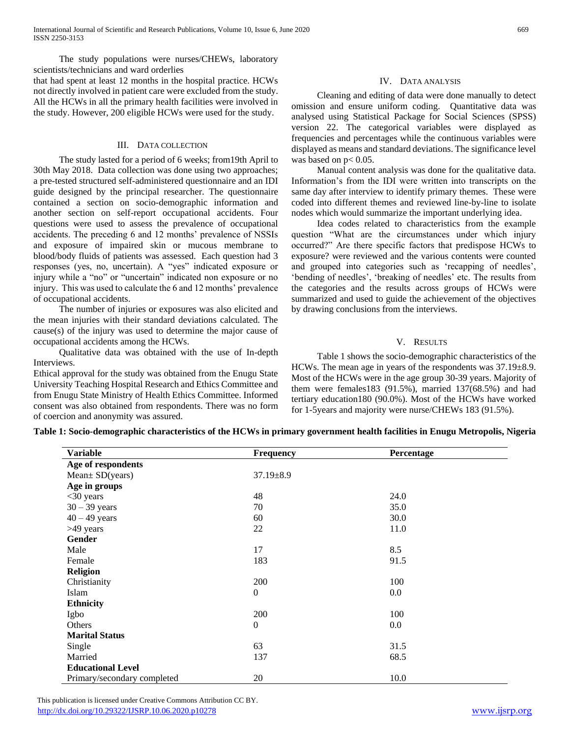The study populations were nurses/CHEWs, laboratory scientists/technicians and ward orderlies

that had spent at least 12 months in the hospital practice. HCWs not directly involved in patient care were excluded from the study. All the HCWs in all the primary health facilities were involved in the study. However, 200 eligible HCWs were used for the study.

## III. DATA COLLECTION

 The study lasted for a period of 6 weeks; from19th April to 30th May 2018. Data collection was done using two approaches; a pre-tested structured self-administered questionnaire and an IDI guide designed by the principal researcher. The questionnaire contained a section on socio-demographic information and another section on self-report occupational accidents. Four questions were used to assess the prevalence of occupational accidents. The preceding 6 and 12 months' prevalence of NSSIs and exposure of impaired skin or mucous membrane to blood/body fluids of patients was assessed. Each question had 3 responses (yes, no, uncertain). A "yes" indicated exposure or injury while a "no" or "uncertain" indicated non exposure or no injury. This was used to calculate the 6 and 12 months' prevalence of occupational accidents.

 The number of injuries or exposures was also elicited and the mean injuries with their standard deviations calculated. The cause(s) of the injury was used to determine the major cause of occupational accidents among the HCWs.

 Qualitative data was obtained with the use of In-depth **Interviews** 

Ethical approval for the study was obtained from the Enugu State University Teaching Hospital Research and Ethics Committee and from Enugu State Ministry of Health Ethics Committee. Informed consent was also obtained from respondents. There was no form of coercion and anonymity was assured.

# IV. DATA ANALYSIS

 Cleaning and editing of data were done manually to detect omission and ensure uniform coding. Quantitative data was analysed using Statistical Package for Social Sciences (SPSS) version 22. The categorical variables were displayed as frequencies and percentages while the continuous variables were displayed as means and standard deviations. The significance level was based on  $p< 0.05$ .

 Manual content analysis was done for the qualitative data. Information's from the IDI were written into transcripts on the same day after interview to identify primary themes. These were coded into different themes and reviewed line-by-line to isolate nodes which would summarize the important underlying idea.

 Idea codes related to characteristics from the example question "What are the circumstances under which injury occurred?" Are there specific factors that predispose HCWs to exposure? were reviewed and the various contents were counted and grouped into categories such as 'recapping of needles', 'bending of needles', 'breaking of needles' etc. The results from the categories and the results across groups of HCWs were summarized and used to guide the achievement of the objectives by drawing conclusions from the interviews.

## V. RESULTS

 Table 1 shows the socio-demographic characteristics of the HCWs. The mean age in years of the respondents was 37.19±8.9. Most of the HCWs were in the age group 30-39 years. Majority of them were females183 (91.5%), married 137(68.5%) and had tertiary education180 (90.0%). Most of the HCWs have worked for 1-5years and majority were nurse/CHEWs 183 (91.5%).

**Table 1: Socio-demographic characteristics of the HCWs in primary government health facilities in Enugu Metropolis, Nigeria**

| <b>Variable</b>             | Frequency        | Percentage |
|-----------------------------|------------------|------------|
| Age of respondents          |                  |            |
| $Mean \pm SD(years)$        | $37.19 \pm 8.9$  |            |
| Age in groups               |                  |            |
| $<$ 30 years                | 48               | 24.0       |
| $30 - 39$ years             | 70               | 35.0       |
| $40 - 49$ years             | 60               | 30.0       |
| >49 years                   | 22               | 11.0       |
| <b>Gender</b>               |                  |            |
| Male                        | 17               | 8.5        |
| Female                      | 183              | 91.5       |
| <b>Religion</b>             |                  |            |
| Christianity                | 200              | 100        |
| Islam                       | $\boldsymbol{0}$ | $0.0\,$    |
| <b>Ethnicity</b>            |                  |            |
| Igbo                        | 200              | 100        |
| Others                      | $\boldsymbol{0}$ | $0.0\,$    |
| <b>Marital Status</b>       |                  |            |
| Single                      | 63               | 31.5       |
| Married                     | 137              | 68.5       |
| <b>Educational Level</b>    |                  |            |
| Primary/secondary completed | 20               | 10.0       |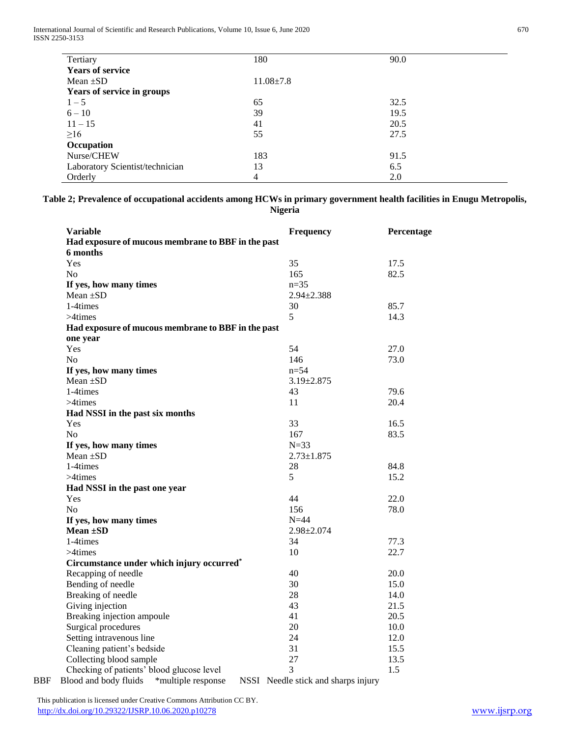International Journal of Scientific and Research Publications, Volume 10, Issue 6, June 2020 670 ISSN 2250-3153

| Tertiary                        | 180             | 90.0 |
|---------------------------------|-----------------|------|
| <b>Years of service</b>         |                 |      |
| Mean $\pm SD$                   | $11.08 \pm 7.8$ |      |
| Years of service in groups      |                 |      |
| $1 - 5$                         | 65              | 32.5 |
| $6 - 10$                        | 39              | 19.5 |
| $11 - 15$                       | 41              | 20.5 |
| $\geq 16$                       | 55              | 27.5 |
| Occupation                      |                 |      |
| Nurse/CHEW                      | 183             | 91.5 |
| Laboratory Scientist/technician | 13              | 6.5  |
| Orderly                         | 4               | 2.0  |

**Table 2; Prevalence of occupational accidents among HCWs in primary government health facilities in Enugu Metropolis, Nigeria**

| <b>Variable</b>                                    | Frequency                           | Percentage |
|----------------------------------------------------|-------------------------------------|------------|
| Had exposure of mucous membrane to BBF in the past |                                     |            |
| 6 months                                           |                                     |            |
| Yes                                                | 35                                  | 17.5       |
| No                                                 | 165                                 | 82.5       |
| If yes, how many times                             | $n=35$                              |            |
| Mean $\pm SD$                                      | $2.94 \pm 2.388$                    |            |
| 1-4times                                           | 30                                  | 85.7       |
| $>4$ times                                         | 5                                   | 14.3       |
| Had exposure of mucous membrane to BBF in the past |                                     |            |
| one year                                           |                                     |            |
| Yes                                                | 54                                  | 27.0       |
| N <sub>o</sub>                                     | 146                                 | 73.0       |
| If yes, how many times                             | $n = 54$                            |            |
| Mean $\pm SD$                                      | $3.19 \pm 2.875$                    |            |
| 1-4times                                           | 43                                  | 79.6       |
| $>4$ times                                         | 11                                  | 20.4       |
| Had NSSI in the past six months                    |                                     |            |
| Yes                                                | 33                                  | 16.5       |
| N <sub>0</sub>                                     | 167                                 | 83.5       |
| If yes, how many times                             | $N = 33$                            |            |
| Mean $\pm SD$                                      | $2.73 \pm 1.875$                    |            |
| 1-4times                                           | 28                                  | 84.8       |
| $>4$ times                                         | 5                                   | 15.2       |
| Had NSSI in the past one year                      |                                     |            |
| Yes                                                | 44                                  | 22.0       |
| N <sub>0</sub>                                     | 156                                 | 78.0       |
| If yes, how many times                             | $N=44$                              |            |
| Mean $\pm SD$                                      | $2.98 \pm 2.074$                    |            |
| 1-4times                                           | 34                                  | 77.3       |
| $>4$ times                                         | 10                                  | 22.7       |
| Circumstance under which injury occurred*          |                                     |            |
| Recapping of needle                                | 40                                  | 20.0       |
| Bending of needle                                  | 30                                  | 15.0       |
| Breaking of needle                                 | 28                                  | 14.0       |
| Giving injection                                   | 43                                  | 21.5       |
| Breaking injection ampoule                         | 41                                  | 20.5       |
| Surgical procedures                                | 20                                  | 10.0       |
| Setting intravenous line                           | 24                                  | 12.0       |
| Cleaning patient's bedside                         | 31                                  | 15.5       |
| Collecting blood sample                            | 27                                  | 13.5       |
| Checking of patients' blood glucose level          | 3<br>$\sim$ $\sim$<br>$\sim$ $\sim$ | 1.5        |

BBF Blood and body fluids \*multiple response NSSI Needle stick and sharps injury

 This publication is licensed under Creative Commons Attribution CC BY. <http://dx.doi.org/10.29322/IJSRP.10.06.2020.p10278> [www.ijsrp.org](http://ijsrp.org/)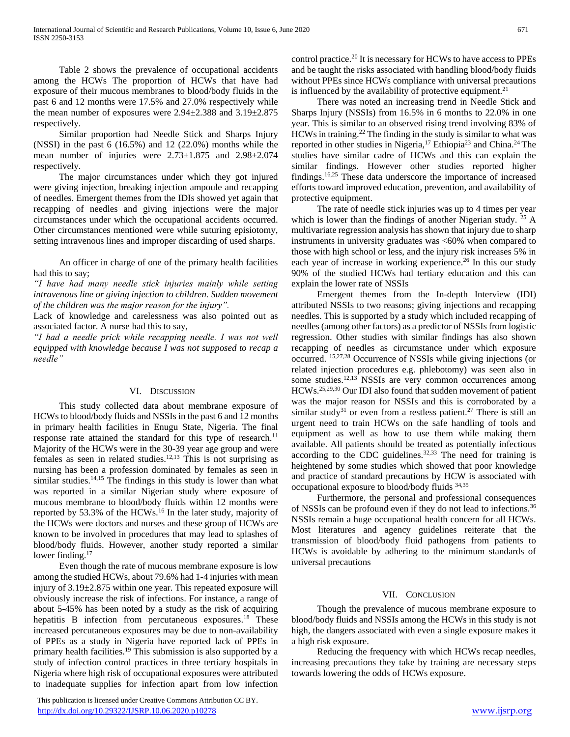Table 2 shows the prevalence of occupational accidents among the HCWs The proportion of HCWs that have had exposure of their mucous membranes to blood/body fluids in the past 6 and 12 months were 17.5% and 27.0% respectively while the mean number of exposures were 2.94±2.388 and 3.19±2.875 respectively.

 Similar proportion had Needle Stick and Sharps Injury (NSSI) in the past 6 (16.5%) and 12 (22.0%) months while the mean number of injuries were 2.73±1.875 and 2.98±2.074 respectively.

 The major circumstances under which they got injured were giving injection, breaking injection ampoule and recapping of needles. Emergent themes from the IDIs showed yet again that recapping of needles and giving injections were the major circumstances under which the occupational accidents occurred. Other circumstances mentioned were while suturing episiotomy, setting intravenous lines and improper discarding of used sharps.

 An officer in charge of one of the primary health facilities had this to say;

*"I have had many needle stick injuries mainly while setting intravenous line or giving injection to children. Sudden movement of the children was the major reason for the injury".* 

Lack of knowledge and carelessness was also pointed out as associated factor. A nurse had this to say,

*"I had a needle prick while recapping needle. I was not well equipped with knowledge because I was not supposed to recap a needle"*

## VI. DISCUSSION

 This study collected data about membrane exposure of HCWs to blood/body fluids and NSSIs in the past 6 and 12 months in primary health facilities in Enugu State, Nigeria. The final response rate attained the standard for this type of research.<sup>11</sup> Majority of the HCWs were in the 30-39 year age group and were females as seen in related studies.<sup>12,13</sup> This is not surprising as nursing has been a profession dominated by females as seen in similar studies.<sup>14,15</sup> The findings in this study is lower than what was reported in a similar Nigerian study where exposure of mucous membrane to blood/body fluids within 12 months were reported by 53.3% of the HCWs.<sup>16</sup> In the later study, majority of the HCWs were doctors and nurses and these group of HCWs are known to be involved in procedures that may lead to splashes of blood/body fluids. However, another study reported a similar lower finding.<sup>17</sup>

 Even though the rate of mucous membrane exposure is low among the studied HCWs, about 79.6% had 1-4 injuries with mean injury of 3.19±2.875 within one year. This repeated exposure will obviously increase the risk of infections. For instance, a range of about 5-45% has been noted by a study as the risk of acquiring hepatitis B infection from percutaneous exposures.<sup>18</sup> These increased percutaneous exposures may be due to non-availability of PPEs as a study in Nigeria have reported lack of PPEs in primary health facilities.<sup>19</sup> This submission is also supported by a study of infection control practices in three tertiary hospitals in Nigeria where high risk of occupational exposures were attributed to inadequate supplies for infection apart from low infection

 This publication is licensed under Creative Commons Attribution CC BY. <http://dx.doi.org/10.29322/IJSRP.10.06.2020.p10278> [www.ijsrp.org](http://ijsrp.org/)

control practice.<sup>20</sup> It is necessary for HCWs to have access to PPEs and be taught the risks associated with handling blood/body fluids without PPEs since HCWs compliance with universal precautions is influenced by the availability of protective equipment.<sup>21</sup>

 There was noted an increasing trend in Needle Stick and Sharps Injury (NSSIs) from 16.5% in 6 months to 22.0% in one year. This is similar to an observed rising trend involving 83% of HCWs in training.<sup>22</sup> The finding in the study is similar to what was reported in other studies in Nigeria,<sup>17</sup> Ethiopia<sup>23</sup> and China.<sup>24</sup> The studies have similar cadre of HCWs and this can explain the similar findings. However other studies reported higher findings.16,25 These data underscore the importance of increased efforts toward improved education, prevention, and availability of protective equipment.

 The rate of needle stick injuries was up to 4 times per year which is lower than the findings of another Nigerian study. <sup>25</sup> A multivariate regression analysis has shown that injury due to sharp instruments in university graduates was <60% when compared to those with high school or less, and the injury risk increases 5% in each year of increase in working experience.<sup>26</sup> In this our study 90% of the studied HCWs had tertiary education and this can explain the lower rate of NSSIs

 Emergent themes from the In-depth Interview (IDI) attributed NSSIs to two reasons; giving injections and recapping needles. This is supported by a study which included recapping of needles (among other factors) as a predictor of NSSIs from logistic regression. Other studies with similar findings has also shown recapping of needles as circumstance under which exposure occurred. 15,27,28 Occurrence of NSSIs while giving injections (or related injection procedures e.g. phlebotomy) was seen also in some studies.<sup>12,13</sup> NSSIs are very common occurrences among HCWs.25,29,30 Our IDI also found that sudden movement of patient was the major reason for NSSIs and this is corroborated by a similar study<sup>31</sup> or even from a restless patient.<sup>27</sup> There is still an urgent need to train HCWs on the safe handling of tools and equipment as well as how to use them while making them available. All patients should be treated as potentially infectious according to the CDC guidelines. $32,33$  The need for training is heightened by some studies which showed that poor knowledge and practice of standard precautions by HCW is associated with occupational exposure to blood/body fluids 34,35

 Furthermore, the personal and professional consequences of NSSIs can be profound even if they do not lead to infections.<sup>36</sup> NSSIs remain a huge occupational health concern for all HCWs. Most literatures and agency guidelines reiterate that the transmission of blood/body fluid pathogens from patients to HCWs is avoidable by adhering to the minimum standards of universal precautions

## VII. CONCLUSION

 Though the prevalence of mucous membrane exposure to blood/body fluids and NSSIs among the HCWs in this study is not high, the dangers associated with even a single exposure makes it a high risk exposure.

 Reducing the frequency with which HCWs recap needles, increasing precautions they take by training are necessary steps towards lowering the odds of HCWs exposure.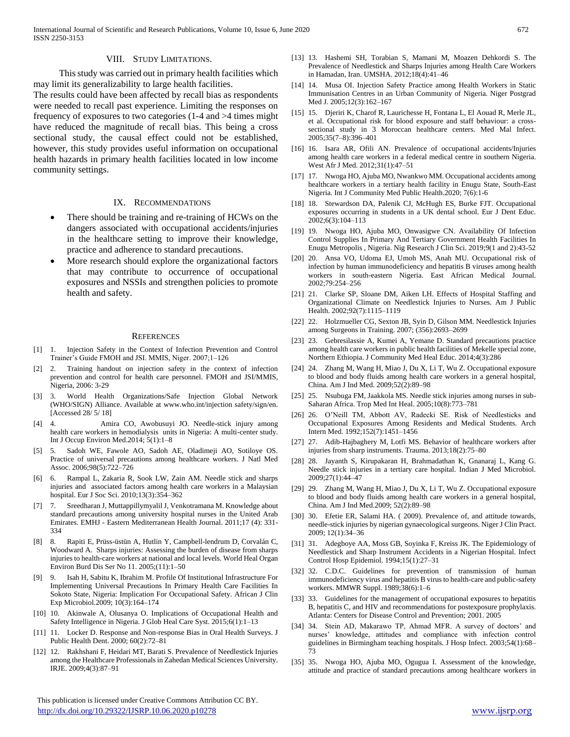#### VIII. STUDY LIMITATIONS.

 This study was carried out in primary health facilities which may limit its generalizability to large health facilities.

The results could have been affected by recall bias as respondents were needed to recall past experience. Limiting the responses on frequency of exposures to two categories (1-4 and >4 times might have reduced the magnitude of recall bias. This being a cross sectional study, the causal effect could not be established, however, this study provides useful information on occupational health hazards in primary health facilities located in low income community settings.

#### IX. RECOMMENDATIONS

- There should be training and re-training of HCWs on the dangers associated with occupational accidents/injuries in the healthcare setting to improve their knowledge, practice and adherence to standard precautions.
- More research should explore the organizational factors that may contribute to occurrence of occupational exposures and NSSIs and strengthen policies to promote health and safety.

#### **REFERENCES**

- [1] 1. Injection Safety in the Context of Infection Prevention and Control Trainer's Guide FMOH and JSI. MMIS, Niger. 2007;1–126
- [2] 2. Training handout on injection safety in the context of infection prevention and control for health care personnel. FMOH and JSI/MMIS, Nigeria, 2006: 3-29
- [3] 3. World Health Organizations/Safe Injection Global Network (WHO/SIGN) Alliance. Available at www.who.int/injection safety/sign/en. [Accessed 28/ 5/ 18]
- [4] 4. Amira CO, Awobusuyi JO. Needle-stick injury among health care workers in hemodialysis units in Nigeria: A multi-center study. Int J Occup Environ Med.2014; 5(1):1–8
- [5] 5. Sadoh WE, Fawole AO, Sadoh AE, Oladimeji AO, Sotiloye OS. Practice of universal precautions among healthcare workers. J Natl Med Assoc. 2006;98(5):722–726
- [6] 6. Rampal L, Zakaria R, Sook LW, Zain AM. Needle stick and sharps injuries and associated factors among health care workers in a Malaysian hospital. Eur J Soc Sci. 2010;13(3):354–362
- [7] 7. Sreedharan J, Muttappillymyalil J, Venkotramana M. Knowledge about standard precautions among university hospital nurses in the United Arab Emirates. EMHJ - Eastern Mediterranean Health Journal. 2011;17 (4): 331- 334
- [8] 8. Rapiti E, Prüss-üstün A, Hutlin Y, Campbell-lendrum D, Corvalán C, Woodward A. Sharps injuries: Assessing the burden of disease from sharps injuries to health-care workers at national and local levels. World Heal Organ Environ Burd Dis Ser No 11. 2005;(11):1–50
- [9] 9. Isah H, Sabitu K, Ibrahim M. Profile Of Institutional Infrastructure For Implementing Universal Precautions In Primary Health Care Facilities In Sokoto State, Nigeria: Implication For Occupational Safety. African J Clin Exp Microbiol.2009; 10(3):164–174
- [10] 10. Akinwale A, Olusanya O. Implications of Occupational Health and Safety Intelligence in Nigeria. J Glob Heal Care Syst. 2015;6(1):1–13
- [11] 11. Locker D. Response and Non-response Bias in Oral Health Surveys. J Public Health Dent. 2000; 60(2):72–81
- [12] 12. Rakhshani F, Heidari MT, Barati S. Prevalence of Needlestick Injuries among the Healthcare Professionals in Zahedan Medical Sciences University. IRJE. 2009;4(3):87–91

 This publication is licensed under Creative Commons Attribution CC BY. <http://dx.doi.org/10.29322/IJSRP.10.06.2020.p10278> [www.ijsrp.org](http://ijsrp.org/)

- [13] 13. Hashemi SH, Torabian S, Mamani M, Moazen Dehkordi S. The Prevalence of Needlestick and Sharps Injuries among Health Care Workers in Hamadan, Iran. UMSHA. 2012;18(4):41–46
- [14] 14. Musa OI. Injection Safety Practice among Health Workers in Static Immunisation Centres in an Urban Community of Nigeria. Niger Postgrad Med J. 2005;12(3):162–167
- [15] 15. Djeriri K, Charof R, Laurichesse H, Fontana L, El Aouad R, Merle JL, et al. Occupational risk for blood exposure and staff behaviour: a crosssectional study in 3 Moroccan healthcare centers. Med Mal Infect. 2005;35(7–8):396–401
- [16] 16. Isara AR, Ofili AN. Prevalence of occupational accidents/Injuries among health care workers in a federal medical centre in southern Nigeria. West Afr J Med. 2012;31(1):47–51
- [17] 17. Nwoga HO, Ajuba MO, Nwankwo MM. Occupational accidents among healthcare workers in a tertiary health facility in Enugu State, South-East Nigeria. Int J Community Med Public Health.2020; 7(6):1-6
- [18] 18. Stewardson DA, Palenik CJ, McHugh ES, Burke FJT. Occupational exposures occurring in students in a UK dental school. Eur J Dent Educ. 2002;6(3):104–113
- [19] 19. Nwoga HO, Ajuba MO, Onwasigwe CN. Availability Of Infection Control Supplies In Primary And Tertiary Government Health Facilities In Enugu Metropolis , Nigeria. Nig Research J Clin Sci. 2019;9(1 and 2):43-52
- [20] 20. Ansa VO, Udoma EJ, Umoh MS, Anah MU. Occupational risk of infection by human immunodeficiency and hepatitis B viruses among health workers in south-eastern Nigeria. East African Medical Journal. 2002;79:254–256
- [21] 21. Clarke SP, Sloane DM, Aiken LH. Effects of Hospital Staffing and Organizational Climate on Needlestick Injuries to Nurses. Am J Public Health. 2002;92(7):1115–1119
- [22] 22. Holzmueller CG, Sexton JB, Syin D, Gilson MM. Needlestick Injuries among Surgeons in Training. 2007; (356):2693–2699
- [23] 23. Gebresilassie A, Kumei A, Yemane D. Standard precautions practice among health care workers in public health facilities of Mekelle special zone, Northern Ethiopia. J Community Med Heal Educ. 2014;4(3):286
- [24] 24. Zhang M, Wang H, Miao J, Du X, Li T, Wu Z. Occupational exposure to blood and body fluids among health care workers in a general hospital, China. Am J Ind Med. 2009;52(2):89–98
- [25] 25. Nsubuga FM, Jaakkola MS. Needle stick injuries among nurses in sub-Saharan Africa. Trop Med Int Heal. 2005;10(8):773–781
- [26] 26. O'Neill TM, Abbott AV, Radecki SE. Risk of Needlesticks and Occupational Exposures Among Residents and Medical Students. Arch Intern Med. 1992;152(7):1451–1456
- [27] 27. Adib-Hajbaghery M, Lotfi MS. Behavior of healthcare workers after injuries from sharp instruments. Trauma. 2013;18(2):75–80
- [28] 28. Jayanth S, Kirupakaran H, Brahmadathan K, Gnanaraj L, Kang G. Needle stick injuries in a tertiary care hospital. Indian J Med Microbiol. 2009;27(1):44–47
- [29] 29. Zhang M, Wang H, Miao J, Du X, Li T, Wu Z. Occupational exposure to blood and body fluids among health care workers in a general hospital, China. Am J Ind Med.2009; 52(2):89–98
- [30] 30. Efetie ER, Salami HA. (2009). Prevalence of, and attitude towards, needle-stick injuries by nigerian gynaecological surgeons. Niger J Clin Pract. 2009; 12(1):34–36
- [31] 31. Adegboye AA, Moss GB, Soyinka F, Kreiss JK. The Epidemiology of Needlestick and Sharp Instrument Accidents in a Nigerian Hospital. Infect Control Hosp Epidemiol. 1994;15(1):27–31
- [32] 32. C.D.C. Guidelines for prevention of transmission of human immunodeficiency virus and hepatitis B virus to health-care and public-safety workers. MMWR Suppl. 1989;38(6):1–6
- [33] 33. Guidelines for the management of occupational exposures to hepatitis B, hepatitis C, and HIV and recommendations for postexposure prophylaxis. Atlanta: Centers for Disease Control and Prevention; 2001. 2005
- [34] 34. Stein AD, Makarawo TP, Ahmad MFR. A survey of doctors' and nurses' knowledge, attitudes and compliance with infection control guidelines in Birmingham teaching hospitals. J Hosp Infect. 2003;54(1):68– 73
- [35] 35. Nwoga HO, Ajuba MO, Ogugua I. Assessment of the knowledge, attitude and practice of standard precautions among healthcare workers in